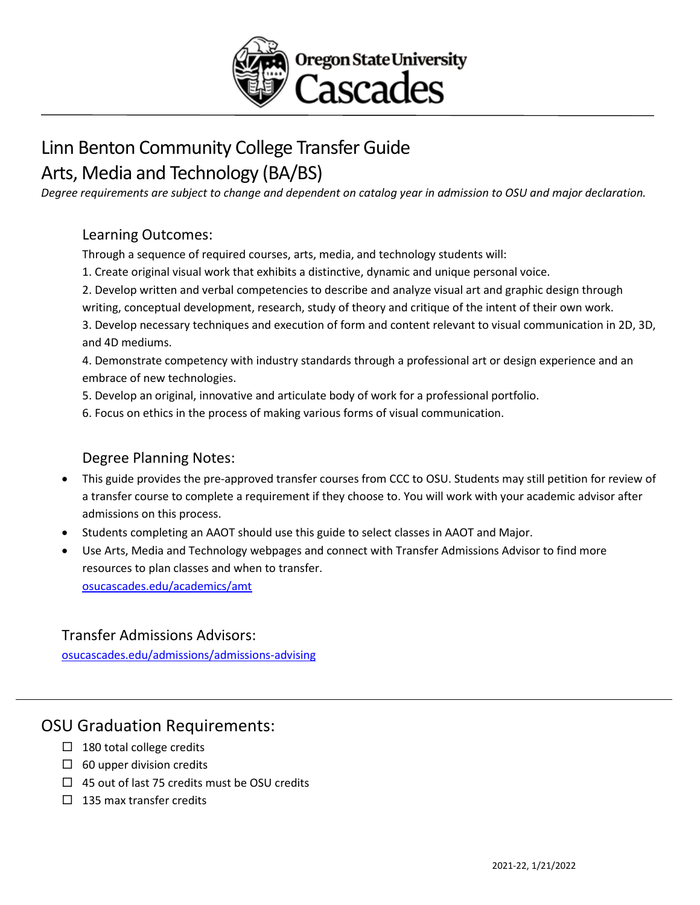

# Linn Benton Community College Transfer Guide Arts, Media and Technology (BA/BS)

*Degree requirements are subject to change and dependent on catalog year in admission to OSU and major declaration.* 

### Learning Outcomes:

Through a sequence of required courses, arts, media, and technology students will:

- 1. Create original visual work that exhibits a distinctive, dynamic and unique personal voice.
- 2. Develop written and verbal competencies to describe and analyze visual art and graphic design through

writing, conceptual development, research, study of theory and critique of the intent of their own work.

3. Develop necessary techniques and execution of form and content relevant to visual communication in 2D, 3D, and 4D mediums.

4. Demonstrate competency with industry standards through a professional art or design experience and an embrace of new technologies.

- 5. Develop an original, innovative and articulate body of work for a professional portfolio.
- 6. Focus on ethics in the process of making various forms of visual communication.

### Degree Planning Notes:

- This guide provides the pre-approved transfer courses from CCC to OSU. Students may still petition for review of a transfer course to complete a requirement if they choose to. You will work with your academic advisor after admissions on this process.
- Students completing an AAOT should use this guide to select classes in AAOT and Major.
- Use Arts, Media and Technology webpages and connect with Transfer Admissions Advisor to find more resources to plan classes and when to transfer. [osucascades.edu/academics/amt](https://osucascades.edu/academics/amt)

#### Transfer Admissions Advisors:

[osucascades.edu/admissions/admissions-advising](https://osucascades.edu/admissions/admissions-advising)

## OSU Graduation Requirements:

- $\Box$  180 total college credits
- $\Box$  60 upper division credits
- $\Box$  45 out of last 75 credits must be OSU credits
- $\Box$  135 max transfer credits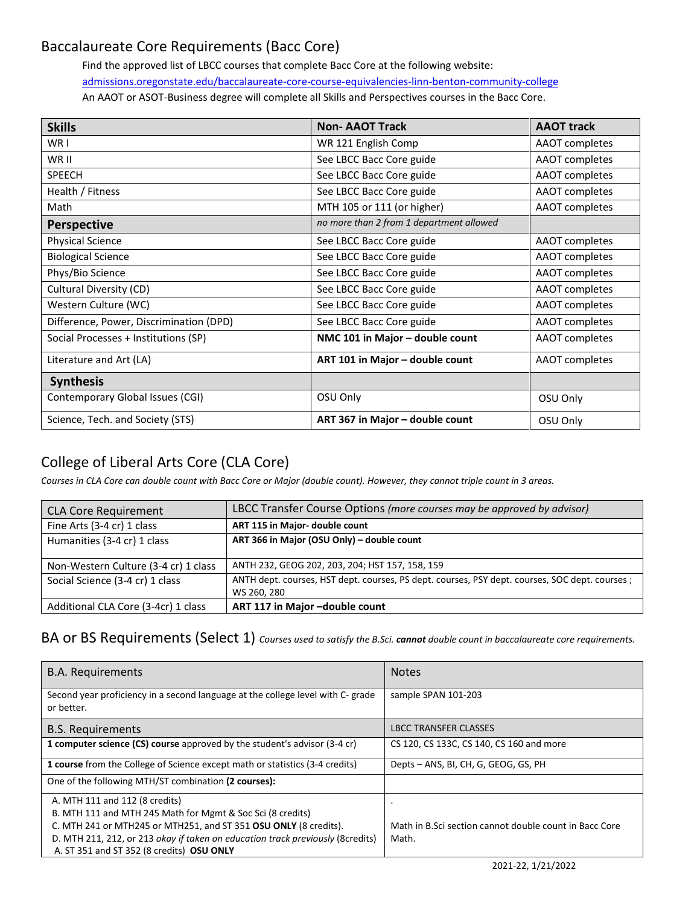# Baccalaureate Core Requirements (Bacc Core)

Find the approved list of LBCC courses that complete Bacc Core at the following website: [admissions.oregonstate.edu/baccalaureate-core-course-equivalencies-linn-benton-community-college](https://admissions.oregonstate.edu/baccalaureate-core-course-equivalencies-linn-benton-community-college) An AAOT or ASOT-Business degree will complete all Skills and Perspectives courses in the Bacc Core.

| <b>Skills</b>                           | <b>Non-AAOT Track</b>                    | <b>AAOT</b> track     |
|-----------------------------------------|------------------------------------------|-----------------------|
| WR I                                    | WR 121 English Comp                      | AAOT completes        |
| WR II                                   | See LBCC Bacc Core guide                 | AAOT completes        |
| <b>SPEECH</b>                           | See LBCC Bacc Core guide                 | <b>AAOT</b> completes |
| Health / Fitness                        | See LBCC Bacc Core guide                 | <b>AAOT</b> completes |
| Math                                    | MTH 105 or 111 (or higher)               | AAOT completes        |
| <b>Perspective</b>                      | no more than 2 from 1 department allowed |                       |
| <b>Physical Science</b>                 | See LBCC Bacc Core guide                 | <b>AAOT</b> completes |
| <b>Biological Science</b>               | See LBCC Bacc Core guide                 | <b>AAOT</b> completes |
| Phys/Bio Science                        | See LBCC Bacc Core guide                 | AAOT completes        |
| Cultural Diversity (CD)                 | See LBCC Bacc Core guide                 | AAOT completes        |
| Western Culture (WC)                    | See LBCC Bacc Core guide                 | AAOT completes        |
| Difference, Power, Discrimination (DPD) | See LBCC Bacc Core guide                 | AAOT completes        |
| Social Processes + Institutions (SP)    | NMC 101 in Major - double count          | AAOT completes        |
| Literature and Art (LA)                 | ART 101 in Major - double count          | <b>AAOT</b> completes |
| <b>Synthesis</b>                        |                                          |                       |
| Contemporary Global Issues (CGI)        | OSU Only                                 | OSU Only              |
| Science, Tech. and Society (STS)        | ART 367 in Major - double count          | OSU Only              |

# College of Liberal Arts Core (CLA Core)

*Courses in CLA Core can double count with Bacc Core or Major (double count). However, they cannot triple count in 3 areas.*

| <b>CLA Core Requirement</b>          | LBCC Transfer Course Options (more courses may be approved by advisor)                                        |
|--------------------------------------|---------------------------------------------------------------------------------------------------------------|
| Fine Arts (3-4 cr) 1 class           | ART 115 in Major- double count                                                                                |
| Humanities (3-4 cr) 1 class          | ART 366 in Major (OSU Only) - double count                                                                    |
| Non-Western Culture (3-4 cr) 1 class | ANTH 232, GEOG 202, 203, 204; HST 157, 158, 159                                                               |
| Social Science (3-4 cr) 1 class      | ANTH dept. courses, HST dept. courses, PS dept. courses, PSY dept. courses, SOC dept. courses;<br>WS 260, 280 |
| Additional CLA Core (3-4cr) 1 class  | ART 117 in Major-double count                                                                                 |

#### BA or BS Requirements (Select 1) *Courses used to satisfy the B.Sci. cannot double count in baccalaureate core requirements.*

| <b>B.A. Requirements</b>                                                                      | <b>Notes</b>                                           |
|-----------------------------------------------------------------------------------------------|--------------------------------------------------------|
| Second year proficiency in a second language at the college level with C- grade<br>or better. | sample SPAN 101-203                                    |
| <b>B.S. Requirements</b>                                                                      | <b>LBCC TRANSFER CLASSES</b>                           |
| 1 computer science (CS) course approved by the student's advisor (3-4 cr)                     | CS 120, CS 133C, CS 140, CS 160 and more               |
| <b>1 course</b> from the College of Science except math or statistics (3-4 credits)           | Depts - ANS, BI, CH, G, GEOG, GS, PH                   |
| One of the following MTH/ST combination (2 courses):                                          |                                                        |
| A. MTH 111 and 112 (8 credits)                                                                |                                                        |
| B. MTH 111 and MTH 245 Math for Mgmt & Soc Sci (8 credits)                                    |                                                        |
| C. MTH 241 or MTH245 or MTH251, and ST 351 OSU ONLY (8 credits).                              | Math in B.Sci section cannot double count in Bacc Core |
| D. MTH 211, 212, or 213 okay if taken on education track previously (8credits)                | Math.                                                  |
| A. ST 351 and ST 352 (8 credits) OSU ONLY                                                     |                                                        |